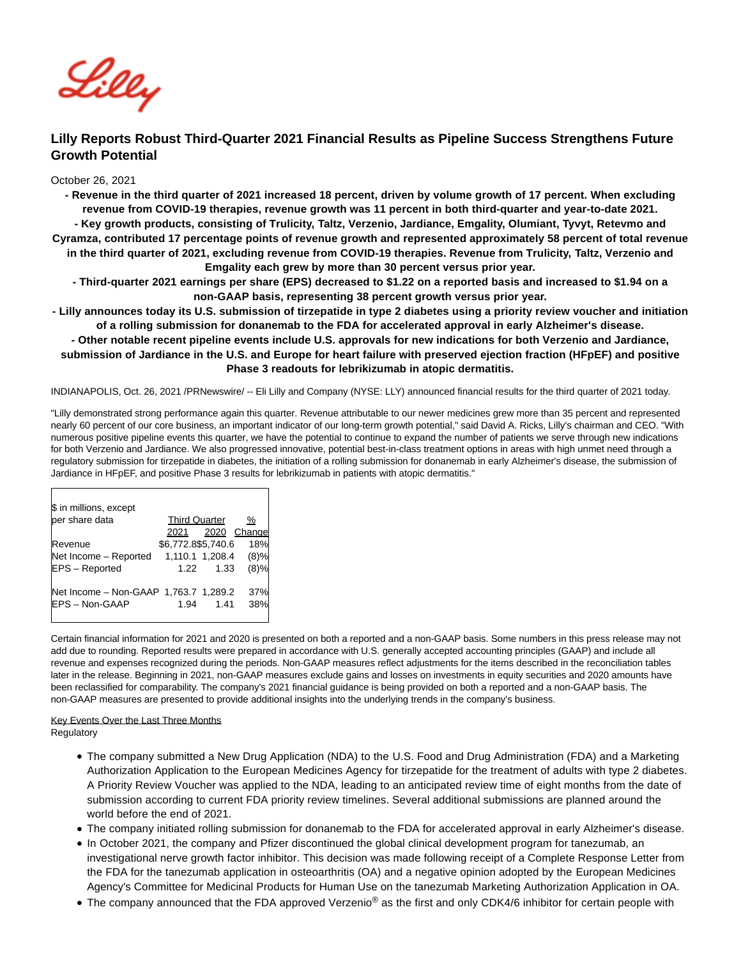

# **Lilly Reports Robust Third-Quarter 2021 Financial Results as Pipeline Success Strengthens Future Growth Potential**

October 26, 2021

**- Revenue in the third quarter of 2021 increased 18 percent, driven by volume growth of 17 percent. When excluding revenue from COVID-19 therapies, revenue growth was 11 percent in both third-quarter and year-to-date 2021. - Key growth products, consisting of Trulicity, Taltz, Verzenio, Jardiance, Emgality, Olumiant, Tyvyt, Retevmo and Cyramza, contributed 17 percentage points of revenue growth and represented approximately 58 percent of total revenue in the third quarter of 2021, excluding revenue from COVID-19 therapies. Revenue from Trulicity, Taltz, Verzenio and Emgality each grew by more than 30 percent versus prior year.**

**- Third-quarter 2021 earnings per share (EPS) decreased to \$1.22 on a reported basis and increased to \$1.94 on a non-GAAP basis, representing 38 percent growth versus prior year.**

**- Lilly announces today its U.S. submission of tirzepatide in type 2 diabetes using a priority review voucher and initiation of a rolling submission for donanemab to the FDA for accelerated approval in early Alzheimer's disease.**

**- Other notable recent pipeline events include U.S. approvals for new indications for both Verzenio and Jardiance, submission of Jardiance in the U.S. and Europe for heart failure with preserved ejection fraction (HFpEF) and positive Phase 3 readouts for lebrikizumab in atopic dermatitis.**

INDIANAPOLIS, Oct. 26, 2021 /PRNewswire/ -- Eli Lilly and Company (NYSE: LLY) announced financial results for the third quarter of 2021 today.

"Lilly demonstrated strong performance again this quarter. Revenue attributable to our newer medicines grew more than 35 percent and represented nearly 60 percent of our core business, an important indicator of our long-term growth potential," said David A. Ricks, Lilly's chairman and CEO. "With numerous positive pipeline events this quarter, we have the potential to continue to expand the number of patients we serve through new indications for both Verzenio and Jardiance. We also progressed innovative, potential best-in-class treatment options in areas with high unmet need through a regulatory submission for tirzepatide in diabetes, the initiation of a rolling submission for donanemab in early Alzheimer's disease, the submission of Jardiance in HFpEF, and positive Phase 3 results for lebrikizumab in patients with atopic dermatitis."

| \$ in millions, except                |                      |      |        |
|---------------------------------------|----------------------|------|--------|
| per share data                        | <b>Third Quarter</b> |      | %      |
|                                       | 2021                 | 2020 | Change |
| Revenue                               | \$6,772.8\$5,740.6   |      | 18%    |
| Net Income - Reported                 | 1,110.1 1,208.4      |      | (8)%   |
| EPS - Reported                        | 1.22                 | 1.33 | (8)%   |
| Net Income - Non-GAAP 1,763.7 1,289.2 |                      |      | 37%    |
| <b>IEPS-Non-GAAP</b>                  | 1.94                 | 1.41 | 38%    |

Certain financial information for 2021 and 2020 is presented on both a reported and a non-GAAP basis. Some numbers in this press release may not add due to rounding. Reported results were prepared in accordance with U.S. generally accepted accounting principles (GAAP) and include all revenue and expenses recognized during the periods. Non-GAAP measures reflect adjustments for the items described in the reconciliation tables later in the release. Beginning in 2021, non-GAAP measures exclude gains and losses on investments in equity securities and 2020 amounts have been reclassified for comparability. The company's 2021 financial guidance is being provided on both a reported and a non-GAAP basis. The non-GAAP measures are presented to provide additional insights into the underlying trends in the company's business.

## Key Events Over the Last Three Months

**Regulatory** 

- The company submitted a New Drug Application (NDA) to the U.S. Food and Drug Administration (FDA) and a Marketing Authorization Application to the European Medicines Agency for tirzepatide for the treatment of adults with type 2 diabetes. A Priority Review Voucher was applied to the NDA, leading to an anticipated review time of eight months from the date of submission according to current FDA priority review timelines. Several additional submissions are planned around the world before the end of 2021.
- The company initiated rolling submission for donanemab to the FDA for accelerated approval in early Alzheimer's disease.
- In October 2021, the company and Pfizer discontinued the global clinical development program for tanezumab, an investigational nerve growth factor inhibitor. This decision was made following receipt of a Complete Response Letter from the FDA for the tanezumab application in osteoarthritis (OA) and a negative opinion adopted by the European Medicines Agency's Committee for Medicinal Products for Human Use on the tanezumab Marketing Authorization Application in OA.
- The company announced that the FDA approved Verzenio<sup>®</sup> as the first and only CDK4/6 inhibitor for certain people with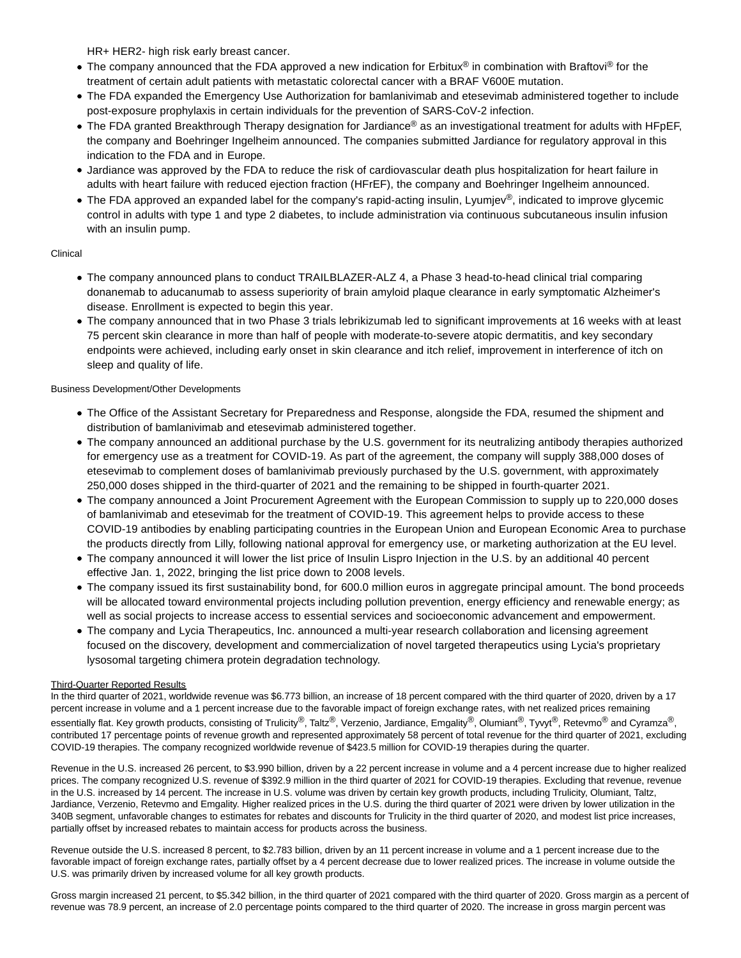HR+ HER2- high risk early breast cancer.

- The company announced that the FDA approved a new indication for Erbitux<sup>®</sup> in combination with Braftovi<sup>®</sup> for the treatment of certain adult patients with metastatic colorectal cancer with a BRAF V600E mutation.
- The FDA expanded the Emergency Use Authorization for bamlanivimab and etesevimab administered together to include post-exposure prophylaxis in certain individuals for the prevention of SARS-CoV-2 infection.
- The FDA granted Breakthrough Therapy designation for Jardiance® as an investigational treatment for adults with HFpEF, the company and Boehringer Ingelheim announced. The companies submitted Jardiance for regulatory approval in this indication to the FDA and in Europe.
- Jardiance was approved by the FDA to reduce the risk of cardiovascular death plus hospitalization for heart failure in adults with heart failure with reduced ejection fraction (HFrEF), the company and Boehringer Ingelheim announced.
- The FDA approved an expanded label for the company's rapid-acting insulin, Lyumjev<sup>®</sup>, indicated to improve glycemic control in adults with type 1 and type 2 diabetes, to include administration via continuous subcutaneous insulin infusion with an insulin pump.

## Clinical

- The company announced plans to conduct TRAILBLAZER-ALZ 4, a Phase 3 head-to-head clinical trial comparing donanemab to aducanumab to assess superiority of brain amyloid plaque clearance in early symptomatic Alzheimer's disease. Enrollment is expected to begin this year.
- The company announced that in two Phase 3 trials lebrikizumab led to significant improvements at 16 weeks with at least 75 percent skin clearance in more than half of people with moderate-to-severe atopic dermatitis, and key secondary endpoints were achieved, including early onset in skin clearance and itch relief, improvement in interference of itch on sleep and quality of life.

## Business Development/Other Developments

- The Office of the Assistant Secretary for Preparedness and Response, alongside the FDA, resumed the shipment and distribution of bamlanivimab and etesevimab administered together.
- The company announced an additional purchase by the U.S. government for its neutralizing antibody therapies authorized for emergency use as a treatment for COVID-19. As part of the agreement, the company will supply 388,000 doses of etesevimab to complement doses of bamlanivimab previously purchased by the U.S. government, with approximately 250,000 doses shipped in the third-quarter of 2021 and the remaining to be shipped in fourth-quarter 2021.
- The company announced a Joint Procurement Agreement with the European Commission to supply up to 220,000 doses of bamlanivimab and etesevimab for the treatment of COVID-19. This agreement helps to provide access to these COVID-19 antibodies by enabling participating countries in the European Union and European Economic Area to purchase the products directly from Lilly, following national approval for emergency use, or marketing authorization at the EU level.
- The company announced it will lower the list price of Insulin Lispro Injection in the U.S. by an additional 40 percent effective Jan. 1, 2022, bringing the list price down to 2008 levels.
- The company issued its first sustainability bond, for 600.0 million euros in aggregate principal amount. The bond proceeds will be allocated toward environmental projects including pollution prevention, energy efficiency and renewable energy; as well as social projects to increase access to essential services and socioeconomic advancement and empowerment.
- The company and Lycia Therapeutics, Inc. announced a multi-year research collaboration and licensing agreement focused on the discovery, development and commercialization of novel targeted therapeutics using Lycia's proprietary lysosomal targeting chimera protein degradation technology.

## Third-Quarter Reported Results

In the third quarter of 2021, worldwide revenue was \$6.773 billion, an increase of 18 percent compared with the third quarter of 2020, driven by a 17 percent increase in volume and a 1 percent increase due to the favorable impact of foreign exchange rates, with net realized prices remaining essentially flat. Key growth products, consisting of Trulicity®, Taltz®, Verzenio, Jardiance, Emgality®, Olumiant®, Tyvyt®, Retevmo® and Cyramza®, contributed 17 percentage points of revenue growth and represented approximately 58 percent of total revenue for the third quarter of 2021, excluding COVID-19 therapies. The company recognized worldwide revenue of \$423.5 million for COVID-19 therapies during the quarter.

Revenue in the U.S. increased 26 percent, to \$3.990 billion, driven by a 22 percent increase in volume and a 4 percent increase due to higher realized prices. The company recognized U.S. revenue of \$392.9 million in the third quarter of 2021 for COVID-19 therapies. Excluding that revenue, revenue in the U.S. increased by 14 percent. The increase in U.S. volume was driven by certain key growth products, including Trulicity, Olumiant, Taltz, Jardiance, Verzenio, Retevmo and Emgality. Higher realized prices in the U.S. during the third quarter of 2021 were driven by lower utilization in the 340B segment, unfavorable changes to estimates for rebates and discounts for Trulicity in the third quarter of 2020, and modest list price increases, partially offset by increased rebates to maintain access for products across the business.

Revenue outside the U.S. increased 8 percent, to \$2.783 billion, driven by an 11 percent increase in volume and a 1 percent increase due to the favorable impact of foreign exchange rates, partially offset by a 4 percent decrease due to lower realized prices. The increase in volume outside the U.S. was primarily driven by increased volume for all key growth products.

Gross margin increased 21 percent, to \$5.342 billion, in the third quarter of 2021 compared with the third quarter of 2020. Gross margin as a percent of revenue was 78.9 percent, an increase of 2.0 percentage points compared to the third quarter of 2020. The increase in gross margin percent was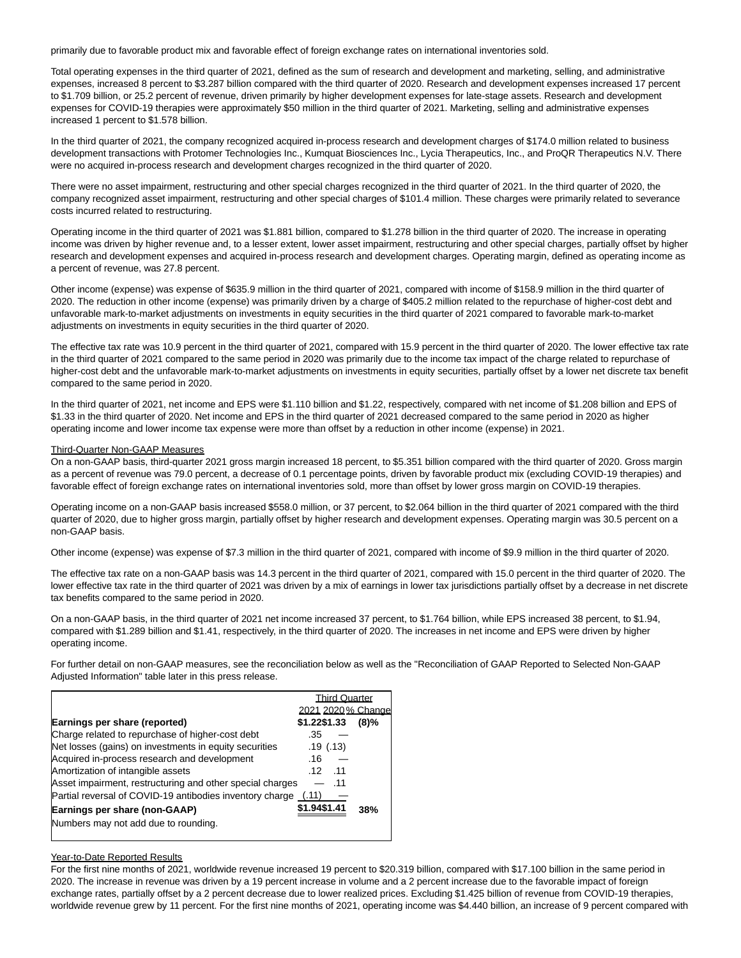primarily due to favorable product mix and favorable effect of foreign exchange rates on international inventories sold.

Total operating expenses in the third quarter of 2021, defined as the sum of research and development and marketing, selling, and administrative expenses, increased 8 percent to \$3.287 billion compared with the third quarter of 2020. Research and development expenses increased 17 percent to \$1.709 billion, or 25.2 percent of revenue, driven primarily by higher development expenses for late-stage assets. Research and development expenses for COVID-19 therapies were approximately \$50 million in the third quarter of 2021. Marketing, selling and administrative expenses increased 1 percent to \$1.578 billion.

In the third quarter of 2021, the company recognized acquired in-process research and development charges of \$174.0 million related to business development transactions with Protomer Technologies Inc., Kumquat Biosciences Inc., Lycia Therapeutics, Inc., and ProQR Therapeutics N.V. There were no acquired in-process research and development charges recognized in the third quarter of 2020.

There were no asset impairment, restructuring and other special charges recognized in the third quarter of 2021. In the third quarter of 2020, the company recognized asset impairment, restructuring and other special charges of \$101.4 million. These charges were primarily related to severance costs incurred related to restructuring.

Operating income in the third quarter of 2021 was \$1.881 billion, compared to \$1.278 billion in the third quarter of 2020. The increase in operating income was driven by higher revenue and, to a lesser extent, lower asset impairment, restructuring and other special charges, partially offset by higher research and development expenses and acquired in-process research and development charges. Operating margin, defined as operating income as a percent of revenue, was 27.8 percent.

Other income (expense) was expense of \$635.9 million in the third quarter of 2021, compared with income of \$158.9 million in the third quarter of 2020. The reduction in other income (expense) was primarily driven by a charge of \$405.2 million related to the repurchase of higher-cost debt and unfavorable mark-to-market adjustments on investments in equity securities in the third quarter of 2021 compared to favorable mark-to-market adjustments on investments in equity securities in the third quarter of 2020.

The effective tax rate was 10.9 percent in the third quarter of 2021, compared with 15.9 percent in the third quarter of 2020. The lower effective tax rate in the third quarter of 2021 compared to the same period in 2020 was primarily due to the income tax impact of the charge related to repurchase of higher-cost debt and the unfavorable mark-to-market adjustments on investments in equity securities, partially offset by a lower net discrete tax benefit compared to the same period in 2020.

In the third quarter of 2021, net income and EPS were \$1.110 billion and \$1.22, respectively, compared with net income of \$1.208 billion and EPS of \$1.33 in the third quarter of 2020. Net income and EPS in the third quarter of 2021 decreased compared to the same period in 2020 as higher operating income and lower income tax expense were more than offset by a reduction in other income (expense) in 2021.

## Third-Quarter Non-GAAP Measures

On a non-GAAP basis, third-quarter 2021 gross margin increased 18 percent, to \$5.351 billion compared with the third quarter of 2020. Gross margin as a percent of revenue was 79.0 percent, a decrease of 0.1 percentage points, driven by favorable product mix (excluding COVID-19 therapies) and favorable effect of foreign exchange rates on international inventories sold, more than offset by lower gross margin on COVID-19 therapies.

Operating income on a non-GAAP basis increased \$558.0 million, or 37 percent, to \$2.064 billion in the third quarter of 2021 compared with the third quarter of 2020, due to higher gross margin, partially offset by higher research and development expenses. Operating margin was 30.5 percent on a non-GAAP basis.

Other income (expense) was expense of \$7.3 million in the third quarter of 2021, compared with income of \$9.9 million in the third quarter of 2020.

The effective tax rate on a non-GAAP basis was 14.3 percent in the third quarter of 2021, compared with 15.0 percent in the third quarter of 2020. The lower effective tax rate in the third quarter of 2021 was driven by a mix of earnings in lower tax jurisdictions partially offset by a decrease in net discrete tax benefits compared to the same period in 2020.

On a non-GAAP basis, in the third quarter of 2021 net income increased 37 percent, to \$1.764 billion, while EPS increased 38 percent, to \$1.94, compared with \$1.289 billion and \$1.41, respectively, in the third quarter of 2020. The increases in net income and EPS were driven by higher operating income.

For further detail on non-GAAP measures, see the reconciliation below as well as the "Reconciliation of GAAP Reported to Selected Non-GAAP Adjusted Information" table later in this press release.

|                                                                | <b>Third Quarter</b> |         |
|----------------------------------------------------------------|----------------------|---------|
|                                                                | 2021 2020 % Change   |         |
| Earnings per share (reported)                                  | \$1.22\$1.33         | $(8)\%$ |
| Charge related to repurchase of higher-cost debt               | .35                  |         |
| Net losses (gains) on investments in equity securities         | .19(.13)             |         |
| Acquired in-process research and development                   | .16                  |         |
| Amortization of intangible assets                              | .12<br>.11           |         |
| Asset impairment, restructuring and other special charges      | .11                  |         |
| Partial reversal of COVID-19 antibodies inventory charge (.11) |                      |         |
| Earnings per share (non-GAAP)                                  | \$1.94\$1.41         | 38%     |
| Numbers may not add due to rounding.                           |                      |         |
|                                                                |                      |         |

## Year-to-Date Reported Results

For the first nine months of 2021, worldwide revenue increased 19 percent to \$20.319 billion, compared with \$17.100 billion in the same period in 2020. The increase in revenue was driven by a 19 percent increase in volume and a 2 percent increase due to the favorable impact of foreign exchange rates, partially offset by a 2 percent decrease due to lower realized prices. Excluding \$1.425 billion of revenue from COVID-19 therapies, worldwide revenue grew by 11 percent. For the first nine months of 2021, operating income was \$4.440 billion, an increase of 9 percent compared with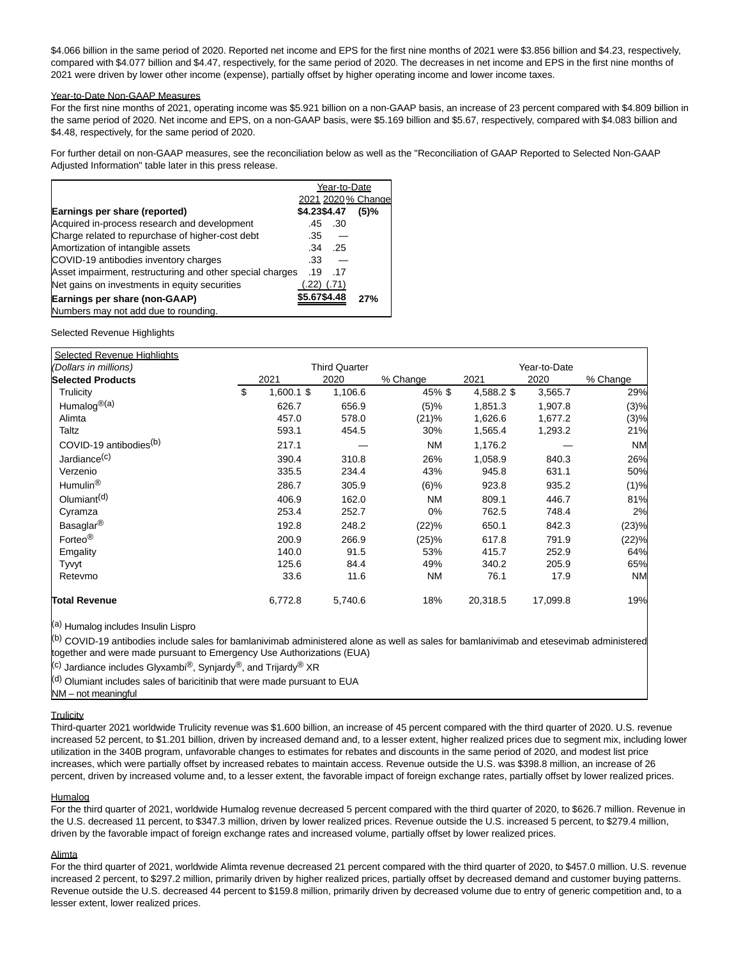\$4.066 billion in the same period of 2020. Reported net income and EPS for the first nine months of 2021 were \$3.856 billion and \$4.23, respectively, compared with \$4.077 billion and \$4.47, respectively, for the same period of 2020. The decreases in net income and EPS in the first nine months of 2021 were driven by lower other income (expense), partially offset by higher operating income and lower income taxes.

### Year-to-Date Non-GAAP Measures

For the first nine months of 2021, operating income was \$5.921 billion on a non-GAAP basis, an increase of 23 percent compared with \$4.809 billion in the same period of 2020. Net income and EPS, on a non-GAAP basis, were \$5.169 billion and \$5.67, respectively, compared with \$4.083 billion and \$4.48, respectively, for the same period of 2020.

For further detail on non-GAAP measures, see the reconciliation below as well as the "Reconciliation of GAAP Reported to Selected Non-GAAP Adjusted Information" table later in this press release.

|                                                           |              | Year-to-Date |                    |
|-----------------------------------------------------------|--------------|--------------|--------------------|
|                                                           |              |              | 2021 2020 % Change |
| Earnings per share (reported)                             | \$4.23\$4.47 |              | $(5)$ %            |
| Acquired in-process research and development              | .45          | .30          |                    |
| Charge related to repurchase of higher-cost debt          | .35          |              |                    |
| Amortization of intangible assets                         | .34          | .25          |                    |
| COVID-19 antibodies inventory charges                     | .33          |              |                    |
| Asset impairment, restructuring and other special charges | .19          | .17          |                    |
| Net gains on investments in equity securities             | .22)         | (.71)        |                    |
| Earnings per share (non-GAAP)                             | \$5.67\$4.48 |              | 27%                |
| Numbers may not add due to rounding.                      |              |              |                    |

Selected Revenue Highlights

| <b>Selected Revenue Highlights</b> |                                      |            |         |           |            |          |           |  |  |
|------------------------------------|--------------------------------------|------------|---------|-----------|------------|----------|-----------|--|--|
| (Dollars in millions)              | <b>Third Quarter</b><br>Year-to-Date |            |         |           |            |          |           |  |  |
| <b>Selected Products</b>           |                                      | 2021       | 2020    | % Change  | 2021       | 2020     | % Change  |  |  |
| Trulicity                          | \$                                   | 1,600.1 \$ | 1,106.6 | 45%\$     | 4,588.2 \$ | 3,565.7  | 29%       |  |  |
| Humalog <sup>®(a)</sup>            |                                      | 626.7      | 656.9   | (5)%      | 1,851.3    | 1,907.8  | (3)%      |  |  |
| Alimta                             |                                      | 457.0      | 578.0   | (21)%     | 1,626.6    | 1,677.2  | (3)%      |  |  |
| Taltz                              |                                      | 593.1      | 454.5   | 30%       | 1,565.4    | 1,293.2  | 21%       |  |  |
| COVID-19 antibodies <sup>(b)</sup> |                                      | 217.1      |         | <b>NM</b> | 1,176.2    |          | <b>NM</b> |  |  |
| Jardiance <sup>(c)</sup>           |                                      | 390.4      | 310.8   | 26%       | 1,058.9    | 840.3    | 26%       |  |  |
| Verzenio                           |                                      | 335.5      | 234.4   | 43%       | 945.8      | 631.1    | 50%       |  |  |
| Humulin <sup>®</sup>               |                                      | 286.7      | 305.9   | $(6)$ %   | 923.8      | 935.2    | (1)%      |  |  |
| Olumiant <sup>(d)</sup>            |                                      | 406.9      | 162.0   | ΝM        | 809.1      | 446.7    | 81%       |  |  |
| Cyramza                            |                                      | 253.4      | 252.7   | 0%        | 762.5      | 748.4    | 2%        |  |  |
| Basaglar <sup>®</sup>              |                                      | 192.8      | 248.2   | (22)%     | 650.1      | 842.3    | (23)%     |  |  |
| Forteo <sup>®</sup>                |                                      | 200.9      | 266.9   | (25)%     | 617.8      | 791.9    | (22)%     |  |  |
| Emgality                           |                                      | 140.0      | 91.5    | 53%       | 415.7      | 252.9    | 64%       |  |  |
| Tyvyt                              |                                      | 125.6      | 84.4    | 49%       | 340.2      | 205.9    | 65%       |  |  |
| Retevmo                            |                                      | 33.6       | 11.6    | <b>NM</b> | 76.1       | 17.9     | <b>NM</b> |  |  |
| <b>Total Revenue</b>               |                                      | 6,772.8    | 5,740.6 | 18%       | 20,318.5   | 17,099.8 | 19%       |  |  |

(a) Humalog includes Insulin Lispro

(b) COVID-19 antibodies include sales for bamlanivimab administered alone as well as sales for bamlanivimab and etesevimab administered together and were made pursuant to Emergency Use Authorizations (EUA)

<sup>(c)</sup> Jardiance includes Glyxambi<sup>®</sup>, Synjardy®, and Trijardy<sup>®</sup> XR

 $\left<$ <sup>(d)</sup> Olumiant includes sales of baricitinib that were made pursuant to EUA

# NM – not meaningful

# **Trulicity**

Third-quarter 2021 worldwide Trulicity revenue was \$1.600 billion, an increase of 45 percent compared with the third quarter of 2020. U.S. revenue increased 52 percent, to \$1.201 billion, driven by increased demand and, to a lesser extent, higher realized prices due to segment mix, including lower utilization in the 340B program, unfavorable changes to estimates for rebates and discounts in the same period of 2020, and modest list price increases, which were partially offset by increased rebates to maintain access. Revenue outside the U.S. was \$398.8 million, an increase of 26 percent, driven by increased volume and, to a lesser extent, the favorable impact of foreign exchange rates, partially offset by lower realized prices.

## **Humalog**

For the third quarter of 2021, worldwide Humalog revenue decreased 5 percent compared with the third quarter of 2020, to \$626.7 million. Revenue in the U.S. decreased 11 percent, to \$347.3 million, driven by lower realized prices. Revenue outside the U.S. increased 5 percent, to \$279.4 million, driven by the favorable impact of foreign exchange rates and increased volume, partially offset by lower realized prices.

## Alimta

For the third quarter of 2021, worldwide Alimta revenue decreased 21 percent compared with the third quarter of 2020, to \$457.0 million. U.S. revenue increased 2 percent, to \$297.2 million, primarily driven by higher realized prices, partially offset by decreased demand and customer buying patterns. Revenue outside the U.S. decreased 44 percent to \$159.8 million, primarily driven by decreased volume due to entry of generic competition and, to a lesser extent, lower realized prices.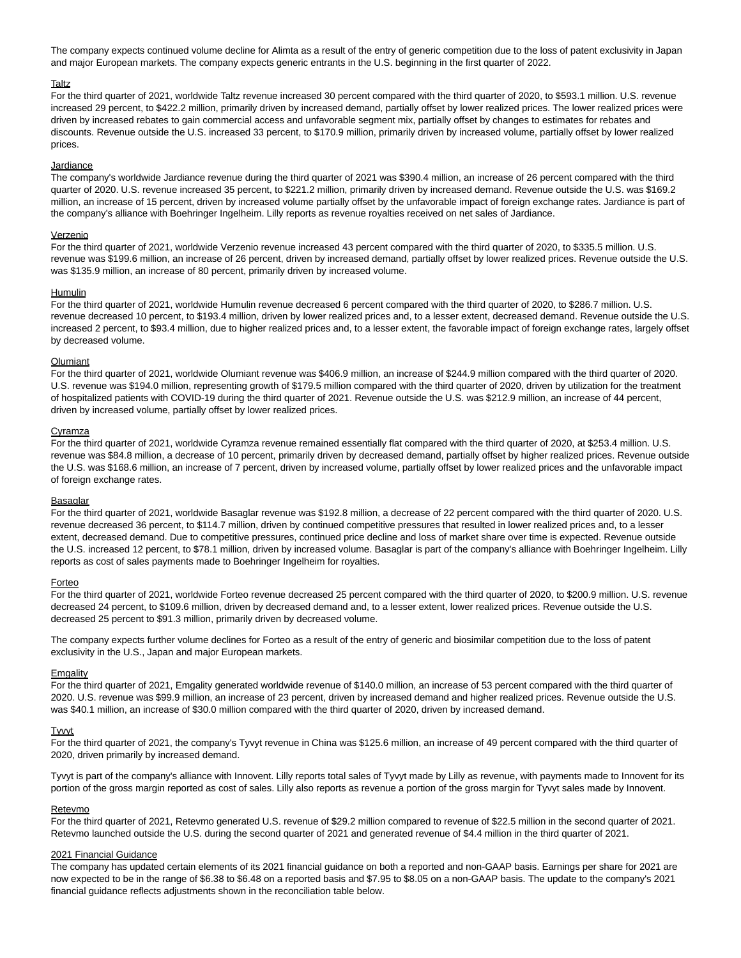The company expects continued volume decline for Alimta as a result of the entry of generic competition due to the loss of patent exclusivity in Japan and major European markets. The company expects generic entrants in the U.S. beginning in the first quarter of 2022.

#### **Taltz**

For the third quarter of 2021, worldwide Taltz revenue increased 30 percent compared with the third quarter of 2020, to \$593.1 million. U.S. revenue increased 29 percent, to \$422.2 million, primarily driven by increased demand, partially offset by lower realized prices. The lower realized prices were driven by increased rebates to gain commercial access and unfavorable segment mix, partially offset by changes to estimates for rebates and discounts. Revenue outside the U.S. increased 33 percent, to \$170.9 million, primarily driven by increased volume, partially offset by lower realized prices.

#### **Jardiance**

The company's worldwide Jardiance revenue during the third quarter of 2021 was \$390.4 million, an increase of 26 percent compared with the third quarter of 2020. U.S. revenue increased 35 percent, to \$221.2 million, primarily driven by increased demand. Revenue outside the U.S. was \$169.2 million, an increase of 15 percent, driven by increased volume partially offset by the unfavorable impact of foreign exchange rates. Jardiance is part of the company's alliance with Boehringer Ingelheim. Lilly reports as revenue royalties received on net sales of Jardiance.

#### Verzenio

For the third quarter of 2021, worldwide Verzenio revenue increased 43 percent compared with the third quarter of 2020, to \$335.5 million. U.S. revenue was \$199.6 million, an increase of 26 percent, driven by increased demand, partially offset by lower realized prices. Revenue outside the U.S. was \$135.9 million, an increase of 80 percent, primarily driven by increased volume.

#### **Humulin**

For the third quarter of 2021, worldwide Humulin revenue decreased 6 percent compared with the third quarter of 2020, to \$286.7 million. U.S. revenue decreased 10 percent, to \$193.4 million, driven by lower realized prices and, to a lesser extent, decreased demand. Revenue outside the U.S. increased 2 percent, to \$93.4 million, due to higher realized prices and, to a lesser extent, the favorable impact of foreign exchange rates, largely offset by decreased volume.

#### **Olumiant**

For the third quarter of 2021, worldwide Olumiant revenue was \$406.9 million, an increase of \$244.9 million compared with the third quarter of 2020. U.S. revenue was \$194.0 million, representing growth of \$179.5 million compared with the third quarter of 2020, driven by utilization for the treatment of hospitalized patients with COVID-19 during the third quarter of 2021. Revenue outside the U.S. was \$212.9 million, an increase of 44 percent, driven by increased volume, partially offset by lower realized prices.

#### Cyramza

For the third quarter of 2021, worldwide Cyramza revenue remained essentially flat compared with the third quarter of 2020, at \$253.4 million. U.S. revenue was \$84.8 million, a decrease of 10 percent, primarily driven by decreased demand, partially offset by higher realized prices. Revenue outside the U.S. was \$168.6 million, an increase of 7 percent, driven by increased volume, partially offset by lower realized prices and the unfavorable impact of foreign exchange rates.

#### **Basaglar**

For the third quarter of 2021, worldwide Basaglar revenue was \$192.8 million, a decrease of 22 percent compared with the third quarter of 2020. U.S. revenue decreased 36 percent, to \$114.7 million, driven by continued competitive pressures that resulted in lower realized prices and, to a lesser extent, decreased demand. Due to competitive pressures, continued price decline and loss of market share over time is expected. Revenue outside the U.S. increased 12 percent, to \$78.1 million, driven by increased volume. Basaglar is part of the company's alliance with Boehringer Ingelheim. Lilly reports as cost of sales payments made to Boehringer Ingelheim for royalties.

#### Forteo

For the third quarter of 2021, worldwide Forteo revenue decreased 25 percent compared with the third quarter of 2020, to \$200.9 million. U.S. revenue decreased 24 percent, to \$109.6 million, driven by decreased demand and, to a lesser extent, lower realized prices. Revenue outside the U.S. decreased 25 percent to \$91.3 million, primarily driven by decreased volume.

The company expects further volume declines for Forteo as a result of the entry of generic and biosimilar competition due to the loss of patent exclusivity in the U.S., Japan and major European markets.

#### **Emgality**

For the third quarter of 2021, Emgality generated worldwide revenue of \$140.0 million, an increase of 53 percent compared with the third quarter of 2020. U.S. revenue was \$99.9 million, an increase of 23 percent, driven by increased demand and higher realized prices. Revenue outside the U.S. was \$40.1 million, an increase of \$30.0 million compared with the third quarter of 2020, driven by increased demand.

#### **Tyvvt**

For the third quarter of 2021, the company's Tyvyt revenue in China was \$125.6 million, an increase of 49 percent compared with the third quarter of 2020, driven primarily by increased demand.

Tyvyt is part of the company's alliance with Innovent. Lilly reports total sales of Tyvyt made by Lilly as revenue, with payments made to Innovent for its portion of the gross margin reported as cost of sales. Lilly also reports as revenue a portion of the gross margin for Tyvyt sales made by Innovent.

#### Retevmo

For the third quarter of 2021, Retevmo generated U.S. revenue of \$29.2 million compared to revenue of \$22.5 million in the second quarter of 2021. Retevmo launched outside the U.S. during the second quarter of 2021 and generated revenue of \$4.4 million in the third quarter of 2021.

#### 2021 Financial Guidance

The company has updated certain elements of its 2021 financial guidance on both a reported and non-GAAP basis. Earnings per share for 2021 are now expected to be in the range of \$6.38 to \$6.48 on a reported basis and \$7.95 to \$8.05 on a non-GAAP basis. The update to the company's 2021 financial guidance reflects adjustments shown in the reconciliation table below.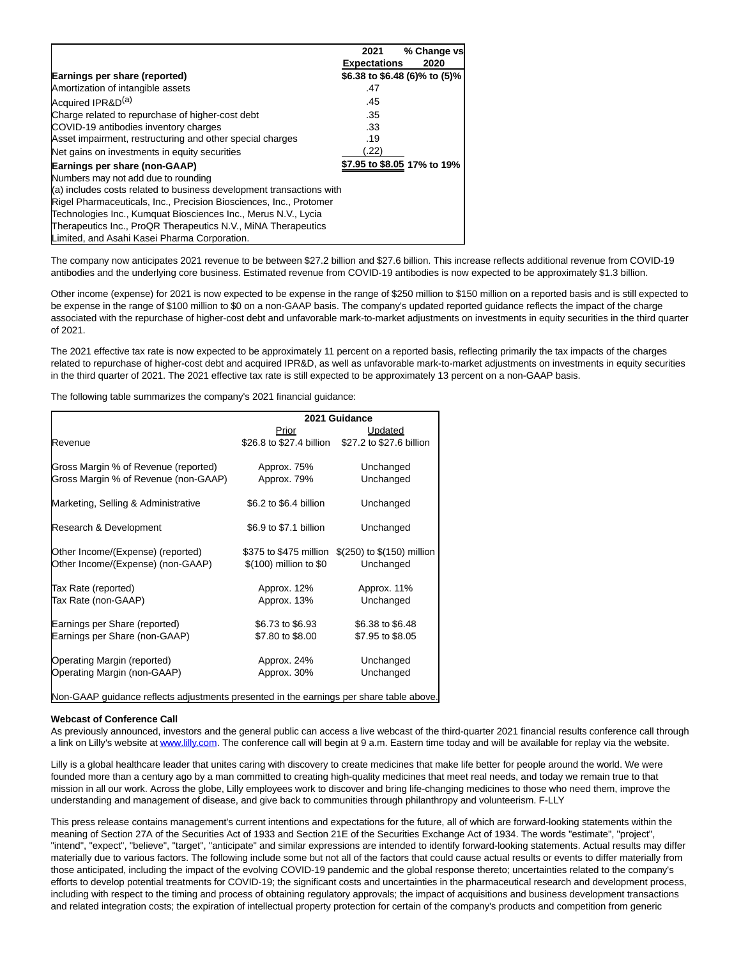|                                                                      | 2021                          | % Change vs |
|----------------------------------------------------------------------|-------------------------------|-------------|
|                                                                      | <b>Expectations</b>           | 2020        |
| Earnings per share (reported)                                        | \$6.38 to \$6.48 (6)% to (5)% |             |
| Amortization of intangible assets                                    | .47                           |             |
| Acquired IPR&D <sup>(a)</sup>                                        | .45                           |             |
| Charge related to repurchase of higher-cost debt                     | .35                           |             |
| COVID-19 antibodies inventory charges                                | .33                           |             |
| Asset impairment, restructuring and other special charges            | .19                           |             |
| Net gains on investments in equity securities                        | .22)                          |             |
| Earnings per share (non-GAAP)                                        | \$7.95 to \$8.05 17% to 19%   |             |
| Numbers may not add due to rounding                                  |                               |             |
| (a) includes costs related to business development transactions with |                               |             |
| Rigel Pharmaceuticals, Inc., Precision Biosciences, Inc., Protomer   |                               |             |
| Technologies Inc., Kumquat Biosciences Inc., Merus N.V., Lycia       |                               |             |
| Therapeutics Inc., ProQR Therapeutics N.V., MiNA Therapeutics        |                               |             |
| Limited, and Asahi Kasei Pharma Corporation.                         |                               |             |

The company now anticipates 2021 revenue to be between \$27.2 billion and \$27.6 billion. This increase reflects additional revenue from COVID-19 antibodies and the underlying core business. Estimated revenue from COVID-19 antibodies is now expected to be approximately \$1.3 billion.

Other income (expense) for 2021 is now expected to be expense in the range of \$250 million to \$150 million on a reported basis and is still expected to be expense in the range of \$100 million to \$0 on a non-GAAP basis. The company's updated reported guidance reflects the impact of the charge associated with the repurchase of higher-cost debt and unfavorable mark-to-market adjustments on investments in equity securities in the third quarter of 2021.

The 2021 effective tax rate is now expected to be approximately 11 percent on a reported basis, reflecting primarily the tax impacts of the charges related to repurchase of higher-cost debt and acquired IPR&D, as well as unfavorable mark-to-market adjustments on investments in equity securities in the third quarter of 2021. The 2021 effective tax rate is still expected to be approximately 13 percent on a non-GAAP basis.

The following table summarizes the company's 2021 financial guidance:

|                                                                                         | 2021 Guidance          |                                                   |  |  |  |  |  |
|-----------------------------------------------------------------------------------------|------------------------|---------------------------------------------------|--|--|--|--|--|
|                                                                                         | Prior                  | Updated                                           |  |  |  |  |  |
| Revenue                                                                                 |                        | \$26.8 to \$27.4 billion \$27.2 to \$27.6 billion |  |  |  |  |  |
| Gross Margin % of Revenue (reported)                                                    | Approx. 75%            | Unchanged                                         |  |  |  |  |  |
| Gross Margin % of Revenue (non-GAAP)                                                    | Approx. 79%            | Unchanged                                         |  |  |  |  |  |
| Marketing, Selling & Administrative                                                     | \$6.2 to \$6.4 billion | Unchanged                                         |  |  |  |  |  |
| Research & Development                                                                  | \$6.9 to \$7.1 billion | Unchanged                                         |  |  |  |  |  |
| Other Income/(Expense) (reported)                                                       |                        | \$375 to \$475 million \$(250) to \$(150) million |  |  |  |  |  |
| Other Income/(Expense) (non-GAAP)                                                       | \$(100) million to \$0 | Unchanged                                         |  |  |  |  |  |
| Tax Rate (reported)                                                                     | Approx. 12%            | Approx. 11%                                       |  |  |  |  |  |
| Tax Rate (non-GAAP)                                                                     | Approx. 13%            | Unchanged                                         |  |  |  |  |  |
| Earnings per Share (reported)                                                           | \$6.73 to \$6.93       | \$6.38 to \$6.48                                  |  |  |  |  |  |
| Earnings per Share (non-GAAP)                                                           | \$7.80 to \$8.00       | \$7.95 to \$8.05                                  |  |  |  |  |  |
| Operating Margin (reported)                                                             | Approx. 24%            | Unchanged                                         |  |  |  |  |  |
| Operating Margin (non-GAAP)                                                             | Approx. 30%            | Unchanged                                         |  |  |  |  |  |
| Non-GAAP guidance reflects adjustments presented in the earnings per share table above. |                        |                                                   |  |  |  |  |  |

#### **Webcast of Conference Call**

As previously announced, investors and the general public can access a live webcast of the third-quarter 2021 financial results conference call through a link on Lilly's website a[t www.lilly.com.](https://c212.net/c/link/?t=0&l=en&o=3335142-1&h=2329915853&u=http%3A%2F%2Fwww.lilly.com%2F&a=www.lilly.com) The conference call will begin at 9 a.m. Eastern time today and will be available for replay via the website.

Lilly is a global healthcare leader that unites caring with discovery to create medicines that make life better for people around the world. We were founded more than a century ago by a man committed to creating high-quality medicines that meet real needs, and today we remain true to that mission in all our work. Across the globe, Lilly employees work to discover and bring life-changing medicines to those who need them, improve the understanding and management of disease, and give back to communities through philanthropy and volunteerism. F-LLY

This press release contains management's current intentions and expectations for the future, all of which are forward-looking statements within the meaning of Section 27A of the Securities Act of 1933 and Section 21E of the Securities Exchange Act of 1934. The words "estimate", "project", "intend", "expect", "believe", "target", "anticipate" and similar expressions are intended to identify forward-looking statements. Actual results may differ materially due to various factors. The following include some but not all of the factors that could cause actual results or events to differ materially from those anticipated, including the impact of the evolving COVID-19 pandemic and the global response thereto; uncertainties related to the company's efforts to develop potential treatments for COVID-19; the significant costs and uncertainties in the pharmaceutical research and development process, including with respect to the timing and process of obtaining regulatory approvals; the impact of acquisitions and business development transactions and related integration costs; the expiration of intellectual property protection for certain of the company's products and competition from generic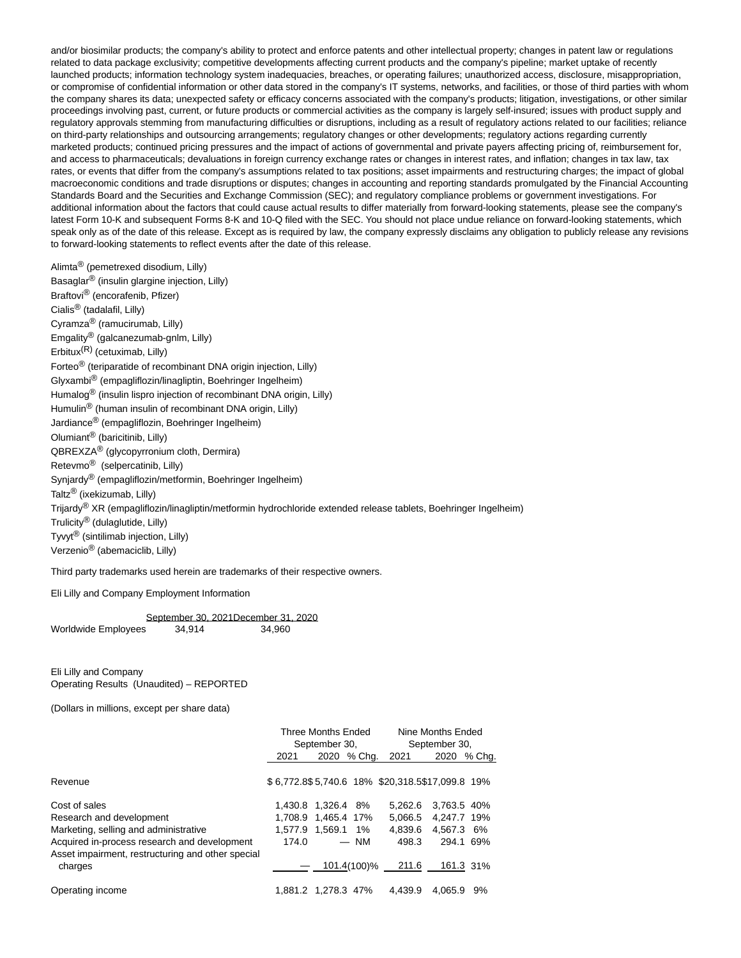and/or biosimilar products; the company's ability to protect and enforce patents and other intellectual property; changes in patent law or regulations related to data package exclusivity; competitive developments affecting current products and the company's pipeline; market uptake of recently launched products; information technology system inadequacies, breaches, or operating failures; unauthorized access, disclosure, misappropriation, or compromise of confidential information or other data stored in the company's IT systems, networks, and facilities, or those of third parties with whom the company shares its data; unexpected safety or efficacy concerns associated with the company's products; litigation, investigations, or other similar proceedings involving past, current, or future products or commercial activities as the company is largely self-insured; issues with product supply and regulatory approvals stemming from manufacturing difficulties or disruptions, including as a result of regulatory actions related to our facilities; reliance on third-party relationships and outsourcing arrangements; regulatory changes or other developments; regulatory actions regarding currently marketed products; continued pricing pressures and the impact of actions of governmental and private payers affecting pricing of, reimbursement for, and access to pharmaceuticals; devaluations in foreign currency exchange rates or changes in interest rates, and inflation; changes in tax law, tax rates, or events that differ from the company's assumptions related to tax positions; asset impairments and restructuring charges; the impact of global macroeconomic conditions and trade disruptions or disputes; changes in accounting and reporting standards promulgated by the Financial Accounting Standards Board and the Securities and Exchange Commission (SEC); and regulatory compliance problems or government investigations. For additional information about the factors that could cause actual results to differ materially from forward-looking statements, please see the company's latest Form 10-K and subsequent Forms 8-K and 10-Q filed with the SEC. You should not place undue reliance on forward-looking statements, which speak only as of the date of this release. Except as is required by law, the company expressly disclaims any obligation to publicly release any revisions to forward-looking statements to reflect events after the date of this release.

Alimta® (pemetrexed disodium, Lilly) Basaglar® (insulin glargine injection, Lilly) Braftovi® (encorafenib, Pfizer) Cialis® (tadalafil, Lilly) Cyramza® (ramucirumab, Lilly) Emgality® (galcanezumab-gnlm, Lilly) Erbitux(R) (cetuximab, Lilly) Forteo® (teriparatide of recombinant DNA origin injection, Lilly) Glyxambi® (empagliflozin/linagliptin, Boehringer Ingelheim) Humalog® (insulin lispro injection of recombinant DNA origin, Lilly) Humulin® (human insulin of recombinant DNA origin, Lilly) Jardiance® (empagliflozin, Boehringer Ingelheim) Olumiant® (baricitinib, Lilly) QBREXZA® (glycopyrronium cloth, Dermira) Retevmo® (selpercatinib, Lilly) Synjardy<sup>®</sup> (empagliflozin/metformin, Boehringer Ingelheim) Taltz® (ixekizumab, Lilly) Trijardy<sup>®</sup> XR (empagliflozin/linagliptin/metformin hydrochloride extended release tablets, Boehringer Ingelheim) Trulicity® (dulaglutide, Lilly) Tyvyt® (sintilimab injection, Lilly) Verzenio® (abemaciclib, Lilly)

Third party trademarks used herein are trademarks of their respective owners.

Eli Lilly and Company Employment Information

September 30, 2021December 31, 2020 Worldwide Employees 34,914 34,960

Eli Lilly and Company Operating Results (Unaudited) – REPORTED

(Dollars in millions, except per share data)

|                                                              |       | Three Months Ended      |         | Nine Months Ended                               |
|--------------------------------------------------------------|-------|-------------------------|---------|-------------------------------------------------|
|                                                              |       | September 30,           |         | September 30,                                   |
|                                                              | 2021  | 2020<br>% Cha.          | 2021    | 2020<br>% Chg.                                  |
| Revenue                                                      |       |                         |         | \$6,772.8\$5,740.6 18% \$20,318.5\$17,099.8 19% |
| Cost of sales                                                |       | 1.430.8 1.326.4<br>- 8% | 5.262.6 | 3.763.5 40%                                     |
| Research and development                                     |       | 1.708.9 1.465.4 17%     | 5.066.5 | 4.247.7 19%                                     |
| Marketing, selling and administrative                        |       | 1.577.9 1.569.1 1%      | 4.839.6 | 4.567.3 6%                                      |
| Acquired in-process research and development                 | 174.0 | $-$ NM                  | 498.3   | 294.1 69%                                       |
| Asset impairment, restructuring and other special<br>charges |       | 101.4(100)%             | 211.6   | 161.3 31%                                       |
| Operating income                                             |       | 1.881.2 1.278.3 47%     | 4.439.9 | 4.065.9<br>9%                                   |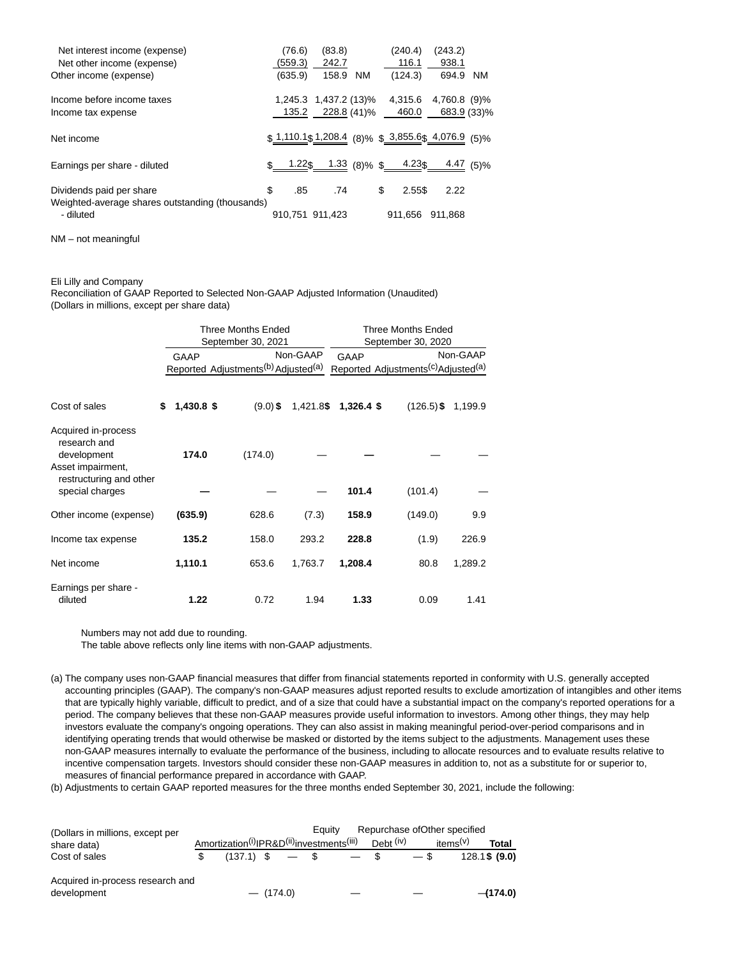| Net interest income (expense)<br>Net other income (expense)<br>Other income (expense) | (76.6)<br>(559.3)<br>(635.9) | (83.8)<br>242.7<br>158.9             | NM | (240.4)<br>116.1<br>(124.3) | (243.2)<br>938.1<br>694.9                             | NM.              |
|---------------------------------------------------------------------------------------|------------------------------|--------------------------------------|----|-----------------------------|-------------------------------------------------------|------------------|
| Income before income taxes<br>Income tax expense                                      | 135.2                        | 1,245.3 1,437.2 (13)%<br>228.8 (41)% |    | 4,315.6<br>460.0            | 4,760.8 (9)%<br>683.9 (33)%                           |                  |
| Net income                                                                            |                              |                                      |    |                             | $$1,110.1$$ $1,208.4$ (8)% $$3,855.6$$ $4,076.9$ (5)% |                  |
| Earnings per share - diluted                                                          |                              | <u>1.22\$ 1.33</u> (8)% \$ 4.23\$    |    |                             |                                                       | <u>4.47</u> (5)% |
| Dividends paid per share<br>Weighted-average shares outstanding (thousands)           | \$<br>.85                    | .74                                  |    | \$<br>2.55\$                | 2.22                                                  |                  |
| - diluted                                                                             |                              | 910,751 911,423                      |    | 911.656                     | 911.868                                               |                  |

NM – not meaningful

## Eli Lilly and Company

Reconciliation of GAAP Reported to Selected Non-GAAP Adjusted Information (Unaudited) (Dollars in millions, except per share data)

|                                                                                                    |                  | Three Months Ended<br>September 30, 2021                    |          | <b>Three Months Ended</b><br>September 30, 2020 |                                                             |          |  |  |
|----------------------------------------------------------------------------------------------------|------------------|-------------------------------------------------------------|----------|-------------------------------------------------|-------------------------------------------------------------|----------|--|--|
|                                                                                                    | <b>GAAP</b>      | Reported Adjustments <sup>(b)</sup> Adjusted <sup>(a)</sup> | Non-GAAP | <b>GAAP</b>                                     | Reported Adjustments <sup>(c)</sup> Adjusted <sup>(a)</sup> | Non-GAAP |  |  |
| Cost of sales                                                                                      | \$<br>1,430.8 \$ | $(9.0)$ \$                                                  |          | 1,421.8\$ 1,326.4 \$                            | $(126.5)$ \$                                                | 1,199.9  |  |  |
| Acquired in-process<br>research and<br>development<br>Asset impairment,<br>restructuring and other | 174.0            | (174.0)                                                     |          |                                                 |                                                             |          |  |  |
| special charges                                                                                    |                  |                                                             |          | 101.4                                           | (101.4)                                                     |          |  |  |
| Other income (expense)                                                                             | (635.9)          | 628.6                                                       | (7.3)    | 158.9                                           | (149.0)                                                     | 9.9      |  |  |
| Income tax expense                                                                                 | 135.2            | 158.0                                                       | 293.2    | 228.8                                           | (1.9)                                                       | 226.9    |  |  |
| Net income                                                                                         | 1,110.1          | 653.6                                                       | 1,763.7  | 1,208.4                                         | 80.8                                                        | 1,289.2  |  |  |
| Earnings per share -<br>diluted                                                                    | 1.22             | 0.72                                                        | 1.94     | 1.33                                            | 0.09                                                        | 1.41     |  |  |

Numbers may not add due to rounding.

The table above reflects only line items with non-GAAP adjustments.

(a) The company uses non-GAAP financial measures that differ from financial statements reported in conformity with U.S. generally accepted accounting principles (GAAP). The company's non-GAAP measures adjust reported results to exclude amortization of intangibles and other items that are typically highly variable, difficult to predict, and of a size that could have a substantial impact on the company's reported operations for a period. The company believes that these non-GAAP measures provide useful information to investors. Among other things, they may help investors evaluate the company's ongoing operations. They can also assist in making meaningful period-over-period comparisons and in identifying operating trends that would otherwise be masked or distorted by the items subject to the adjustments. Management uses these non-GAAP measures internally to evaluate the performance of the business, including to allocate resources and to evaluate results relative to incentive compensation targets. Investors should consider these non-GAAP measures in addition to, not as a substitute for or superior to, measures of financial performance prepared in accordance with GAAP.

(b) Adjustments to certain GAAP reported measures for the three months ended September 30, 2021, include the following:

| (Dollars in millions, except per |                                                                                |             | Eauitv |                                   | Repurchase of Other specified     |               |
|----------------------------------|--------------------------------------------------------------------------------|-------------|--------|-----------------------------------|-----------------------------------|---------------|
| share data)                      | Amortization <sup>(i)</sup> IPR&D <sup>(ii)</sup> investments <sup>(iii)</sup> |             |        | Debt <sup>(iv)</sup>              | items <sup><math>(v)</math></sup> | Total         |
| Cost of sales                    |                                                                                |             |        | $(137.1)$ \$ $-$ \$ $-$ \$ $-$ \$ |                                   | 128.1\$ (9.0) |
| Acquired in-process research and |                                                                                |             |        |                                   |                                   |               |
| development                      |                                                                                | $-$ (174.0) |        |                                   |                                   | $-$ (174.0)   |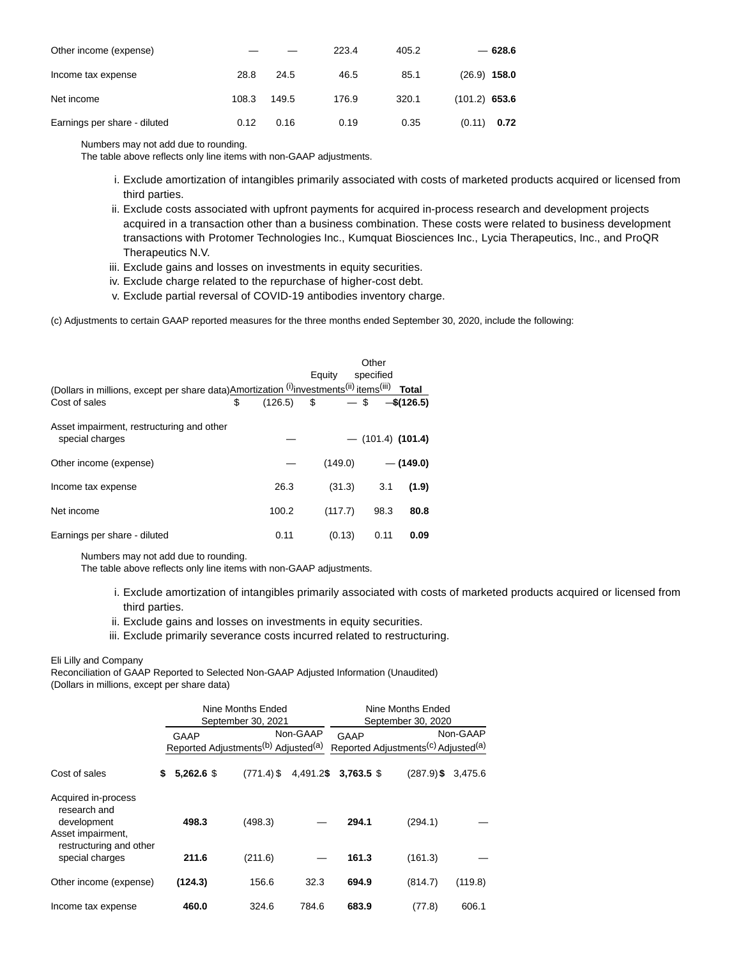| Other income (expense)       |       |       | 223.4 | 405.2 | $-628.6$        |
|------------------------------|-------|-------|-------|-------|-----------------|
| Income tax expense           | 28.8  | 24.5  | 46.5  | 85.1  | $(26.9)$ 158.0  |
| Net income                   | 108.3 | 149.5 | 176.9 | 320.1 | $(101.2)$ 653.6 |
| Earnings per share - diluted | 0.12  | 0.16  | 0.19  | 0.35  | (0.11)<br>0.72  |

Numbers may not add due to rounding.

The table above reflects only line items with non-GAAP adjustments.

- i. Exclude amortization of intangibles primarily associated with costs of marketed products acquired or licensed from third parties.
- ii. Exclude costs associated with upfront payments for acquired in-process research and development projects acquired in a transaction other than a business combination. These costs were related to business development transactions with Protomer Technologies Inc., Kumquat Biosciences Inc., Lycia Therapeutics, Inc., and ProQR Therapeutics N.V.
- iii. Exclude gains and losses on investments in equity securities.
- iv. Exclude charge related to the repurchase of higher-cost debt.
- v. Exclude partial reversal of COVID-19 antibodies inventory charge.

(c) Adjustments to certain GAAP reported measures for the three months ended September 30, 2020, include the following:

|                                                                                          |                                          |        |         | Other               |              |
|------------------------------------------------------------------------------------------|------------------------------------------|--------|---------|---------------------|--------------|
|                                                                                          |                                          | Equity |         | specified           |              |
| (Dollars in millions, except per share data) Amortization (i) investments(ii) items(iii) |                                          |        |         |                     | <b>Total</b> |
| Cost of sales                                                                            | \$<br>$(126.5)$ \$ $-$ \$ $-$ \$ (126.5) |        |         |                     |              |
| Asset impairment, restructuring and other<br>special charges                             |                                          |        |         | $-$ (101.4) (101.4) |              |
| Other income (expense)                                                                   |                                          |        | (149.0) |                     | $-$ (149.0)  |
| Income tax expense                                                                       | 26.3                                     |        | (31.3)  | 3.1                 | (1.9)        |
| Net income                                                                               | 100.2                                    |        | (117.7) | 98.3                | 80.8         |
| Earnings per share - diluted                                                             | 0.11                                     |        | (0.13)  | 0.11                | 0.09         |

Numbers may not add due to rounding.

The table above reflects only line items with non-GAAP adjustments.

- i. Exclude amortization of intangibles primarily associated with costs of marketed products acquired or licensed from third parties.
- ii. Exclude gains and losses on investments in equity securities.
- iii. Exclude primarily severance costs incurred related to restructuring.

## Eli Lilly and Company

Reconciliation of GAAP Reported to Selected Non-GAAP Adjusted Information (Unaudited) (Dollars in millions, except per share data)

|                                                                         |                    | Nine Months Ended<br>September 30, 2021                     |          | Nine Months Ended<br>September 30, 2020 |              |                                                                         |  |  |
|-------------------------------------------------------------------------|--------------------|-------------------------------------------------------------|----------|-----------------------------------------|--------------|-------------------------------------------------------------------------|--|--|
|                                                                         | GAAP               | Reported Adjustments <sup>(b)</sup> Adjusted <sup>(a)</sup> | Non-GAAP | GAAP                                    |              | Non-GAAP<br>Reported Adjustments <sup>(c)</sup> Adjusted <sup>(a)</sup> |  |  |
| Cost of sales                                                           | \$<br>$5.262.6$ \$ | $(771.4)$ \$                                                |          | 4,491.2\$ 3,763.5 \$                    | $(287.9)$ \$ | 3,475.6                                                                 |  |  |
| Acquired in-process<br>research and<br>development<br>Asset impairment, | 498.3              | (498.3)                                                     |          | 294.1                                   | (294.1)      |                                                                         |  |  |
| restructuring and other<br>special charges                              | 211.6              | (211.6)                                                     |          | 161.3                                   | (161.3)      |                                                                         |  |  |
| Other income (expense)                                                  | (124.3)            | 156.6                                                       | 32.3     | 694.9                                   | (814.7)      | (119.8)                                                                 |  |  |
| Income tax expense                                                      | 460.0              | 324.6                                                       | 784.6    | 683.9                                   | (77.8)       | 606.1                                                                   |  |  |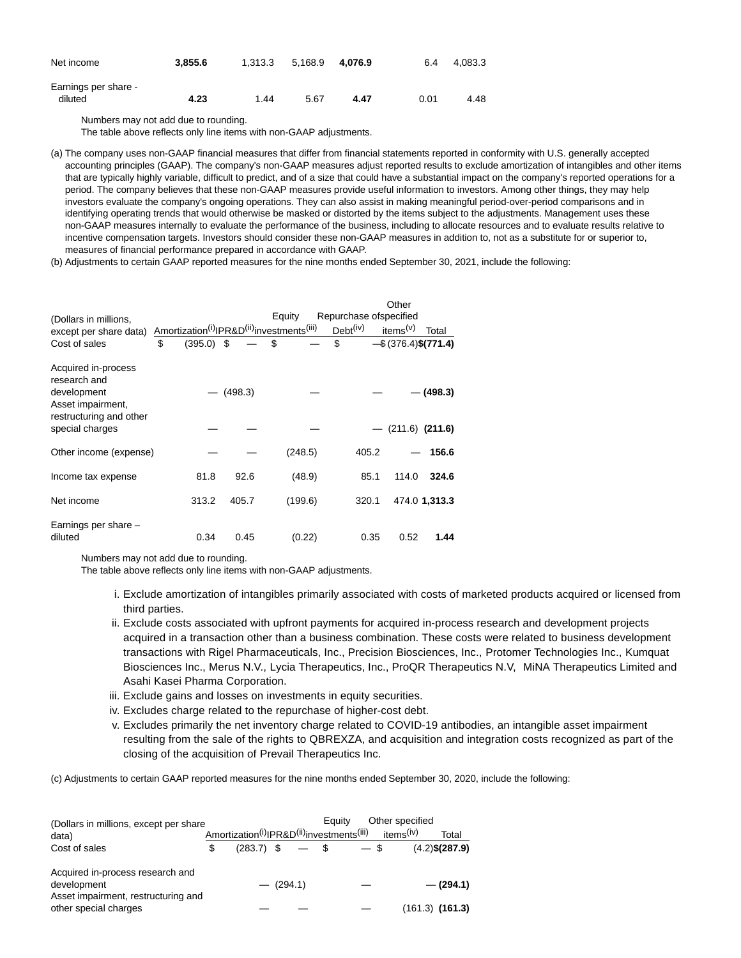| Net income                      | 3.855.6 | 1.313.3 | 5.168.9 | 4.076.9 | 6.4  | 4.083.3 |
|---------------------------------|---------|---------|---------|---------|------|---------|
| Earnings per share -<br>diluted | 4.23    | 1.44    | 5.67    | 4.47    | 0.01 | 4.48    |

Numbers may not add due to rounding.

The table above reflects only line items with non-GAAP adjustments.

(a) The company uses non-GAAP financial measures that differ from financial statements reported in conformity with U.S. generally accepted accounting principles (GAAP). The company's non-GAAP measures adjust reported results to exclude amortization of intangibles and other items that are typically highly variable, difficult to predict, and of a size that could have a substantial impact on the company's reported operations for a period. The company believes that these non-GAAP measures provide useful information to investors. Among other things, they may help investors evaluate the company's ongoing operations. They can also assist in making meaningful period-over-period comparisons and in identifying operating trends that would otherwise be masked or distorted by the items subject to the adjustments. Management uses these non-GAAP measures internally to evaluate the performance of the business, including to allocate resources and to evaluate results relative to incentive compensation targets. Investors should consider these non-GAAP measures in addition to, not as a substitute for or superior to, measures of financial performance prepared in accordance with GAAP.

(b) Adjustments to certain GAAP reported measures for the nine months ended September 30, 2021, include the following:

|                                                                         |                    |         |                                                                                |                         | Other                         |
|-------------------------------------------------------------------------|--------------------|---------|--------------------------------------------------------------------------------|-------------------------|-------------------------------|
| (Dollars in millions,                                                   |                    |         | Equity                                                                         | Repurchase of specified |                               |
| except per share data)                                                  |                    |         | Amortization <sup>(i)</sup> IPR&D <sup>(ii)</sup> investments <sup>(iii)</sup> | Debt <sup>(iv)</sup>    | items <sup>(v)</sup><br>Total |
| Cost of sales                                                           | \$<br>$(395.0)$ \$ |         | \$                                                                             | \$                      | $-\$$ (376.4) $\$(771.4)$     |
| Acquired in-process<br>research and<br>development<br>Asset impairment, |                    | (498.3) |                                                                                |                         | $-$ (498.3)                   |
| restructuring and other<br>special charges                              |                    |         |                                                                                |                         | $(211.6)$ $(211.6)$           |
| Other income (expense)                                                  |                    |         | (248.5)                                                                        | 405.2                   | 156.6                         |
| Income tax expense                                                      | 81.8               | 92.6    | (48.9)                                                                         | 85.1                    | 324.6<br>114.0                |
| Net income                                                              | 313.2              | 405.7   | (199.6)                                                                        | 320.1                   | 474.0 1,313.3                 |
| Earnings per share -<br>diluted                                         | 0.34               | 0.45    | (0.22)                                                                         | 0.35                    | 0.52<br>1.44                  |

Numbers may not add due to rounding.

The table above reflects only line items with non-GAAP adjustments.

- i. Exclude amortization of intangibles primarily associated with costs of marketed products acquired or licensed from third parties.
- ii. Exclude costs associated with upfront payments for acquired in-process research and development projects acquired in a transaction other than a business combination. These costs were related to business development transactions with Rigel Pharmaceuticals, Inc., Precision Biosciences, Inc., Protomer Technologies Inc., Kumquat Biosciences Inc., Merus N.V., Lycia Therapeutics, Inc., ProQR Therapeutics N.V, MiNA Therapeutics Limited and Asahi Kasei Pharma Corporation.
- iii. Exclude gains and losses on investments in equity securities.
- iv. Excludes charge related to the repurchase of higher-cost debt.
- Excludes primarily the net inventory charge related to COVID-19 antibodies, an intangible asset impairment v. resulting from the sale of the rights to QBREXZA, and acquisition and integration costs recognized as part of the closing of the acquisition of Prevail Therapeutics Inc.

(c) Adjustments to certain GAAP reported measures for the nine months ended September 30, 2020, include the following:

| (Dollars in millions, except per share |    |                                                                                |  | Eauity      |  | Other specified |                       |                     |
|----------------------------------------|----|--------------------------------------------------------------------------------|--|-------------|--|-----------------|-----------------------|---------------------|
| data)                                  |    | Amortization <sup>(i)</sup> IPR&D <sup>(ii)</sup> investments <sup>(iii)</sup> |  |             |  |                 | items <sup>(iv)</sup> | Total               |
| Cost of sales                          | ß. | $(283.7)$ \$                                                                   |  | $-$ \$      |  | $-$ \$          |                       | $(4.2)$ \$(287.9)   |
| Acquired in-process research and       |    |                                                                                |  |             |  |                 |                       |                     |
| development                            |    |                                                                                |  | $-$ (294.1) |  |                 |                       | $-$ (294.1)         |
| Asset impairment, restructuring and    |    |                                                                                |  |             |  |                 |                       |                     |
| other special charges                  |    |                                                                                |  |             |  |                 |                       | $(161.3)$ $(161.3)$ |